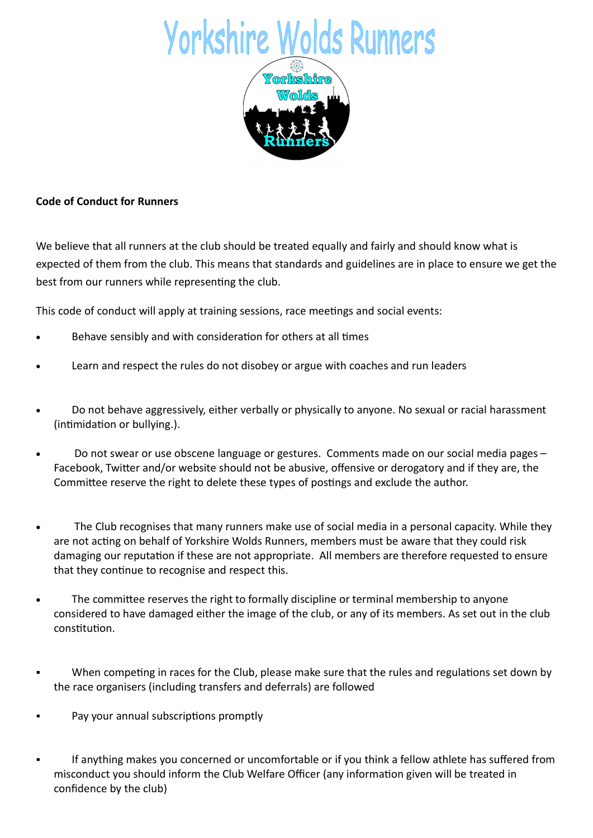

## Code of Conduct for Runners

We believe that all runners at the club should be treated equally and fairly and should know what is expected of them from the club. This means that standards and guidelines are in place to ensure we get the best from our runners while representing the club.

This code of conduct will apply at training sessions, race meetings and social events:

- Behave sensibly and with consideration for others at all times
- Learn and respect the rules do not disobey or argue with coaches and run leaders
- Do not behave aggressively, either verbally or physically to anyone. No sexual or racial harassment (intimidation or bullying.).
- Do not swear or use obscene language or gestures. Comments made on our social media pages Facebook, Twitter and/or website should not be abusive, offensive or derogatory and if they are, the Committee reserve the right to delete these types of postings and exclude the author.
- The Club recognises that many runners make use of social media in a personal capacity. While they are not acting on behalf of Yorkshire Wolds Runners, members must be aware that they could risk damaging our reputation if these are not appropriate. All members are therefore requested to ensure that they continue to recognise and respect this.
- The committee reserves the right to formally discipline or terminal membership to anyone considered to have damaged either the image of the club, or any of its members. As set out in the club constitution.
- When competing in races for the Club, please make sure that the rules and regulations set down by the race organisers (including transfers and deferrals) are followed
- Pay your annual subscriptions promptly
- If anything makes you concerned or uncomfortable or if you think a fellow athlete has suffered from misconduct you should inform the Club Welfare Officer (any information given will be treated in confidence by the club)